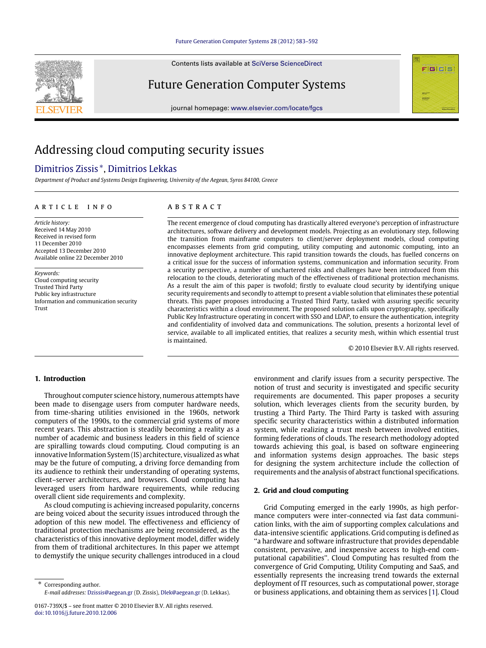#### [Future Generation Computer Systems 28 \(2012\) 583–592](http://dx.doi.org/10.1016/j.future.2010.12.006)

Contents lists available at [SciVerse ScienceDirect](http://www.elsevier.com/locate/fgcs)

## Future Generation Computer Systems

journal homepage: [www.elsevier.com/locate/fgcs](http://www.elsevier.com/locate/fgcs)

# **F**IGICIS

# Addressing cloud computing security issues

## [Dimitrios Zissis](#page-9-0) [∗](#page-0-0) , [Dimitrios Lekkas](#page-9-1)

*Department of Product and Systems Design Engineering, University of the Aegean, Syros 84100, Greece*

#### a r t i c l e i n f o

*Article history:* Received 14 May 2010 Received in revised form 11 December 2010 Accepted 13 December 2010 Available online 22 December 2010

*Keywords:* Cloud computing security Trusted Third Party Public key infrastructure Information and communication security Trust

#### A B S T R A C T

The recent emergence of cloud computing has drastically altered everyone's perception of infrastructure architectures, software delivery and development models. Projecting as an evolutionary step, following the transition from mainframe computers to client/server deployment models, cloud computing encompasses elements from grid computing, utility computing and autonomic computing, into an innovative deployment architecture. This rapid transition towards the clouds, has fuelled concerns on a critical issue for the success of information systems, communication and information security. From a security perspective, a number of unchartered risks and challenges have been introduced from this relocation to the clouds, deteriorating much of the effectiveness of traditional protection mechanisms. As a result the aim of this paper is twofold; firstly to evaluate cloud security by identifying unique security requirements and secondly to attempt to present a viable solution that eliminates these potential threats. This paper proposes introducing a Trusted Third Party, tasked with assuring specific security characteristics within a cloud environment. The proposed solution calls upon cryptography, specifically Public Key Infrastructure operating in concert with SSO and LDAP, to ensure the authentication, integrity and confidentiality of involved data and communications. The solution, presents a horizontal level of service, available to all implicated entities, that realizes a security mesh, within which essential trust is maintained.

© 2010 Elsevier B.V. All rights reserved.

#### **1. Introduction**

Throughout computer science history, numerous attempts have been made to disengage users from computer hardware needs, from time-sharing utilities envisioned in the 1960s, network computers of the 1990s, to the commercial grid systems of more recent years. This abstraction is steadily becoming a reality as a number of academic and business leaders in this field of science are spiralling towards cloud computing. Cloud computing is an innovative Information System (IS) architecture, visualized as what may be the future of computing, a driving force demanding from its audience to rethink their understanding of operating systems, client–server architectures, and browsers. Cloud computing has leveraged users from hardware requirements, while reducing overall client side requirements and complexity.

As cloud computing is achieving increased popularity, concerns are being voiced about the security issues introduced through the adoption of this new model. The effectiveness and efficiency of traditional protection mechanisms are being reconsidered, as the characteristics of this innovative deployment model, differ widely from them of traditional architectures. In this paper we attempt to demystify the unique security challenges introduced in a cloud

<span id="page-0-0"></span>Corresponding author. *E-mail addresses:* [Dzissis@aegean.gr](mailto:Dzissis@aegean.gr) (D. Zissis), [Dlek@aegean.gr](mailto:Dlek@aegean.gr) (D. Lekkas). environment and clarify issues from a security perspective. The notion of trust and security is investigated and specific security requirements are documented. This paper proposes a security solution, which leverages clients from the security burden, by trusting a Third Party. The Third Party is tasked with assuring specific security characteristics within a distributed information system, while realizing a trust mesh between involved entities, forming federations of clouds. The research methodology adopted towards achieving this goal, is based on software engineering and information systems design approaches. The basic steps for designing the system architecture include the collection of requirements and the analysis of abstract functional specifications.

#### **2. Grid and cloud computing**

Grid Computing emerged in the early 1990s, as high performance computers were inter-connected via fast data communication links, with the aim of supporting complex calculations and data-intensive scientific applications. Grid computing is defined as ''a hardware and software infrastructure that provides dependable consistent, pervasive, and inexpensive access to high-end computational capabilities''. Cloud Computing has resulted from the convergence of Grid Computing, Utility Computing and SaaS, and essentially represents the increasing trend towards the external deployment of IT resources, such as computational power, storage or business applications, and obtaining them as services [\[1\]](#page-9-2). Cloud



<sup>0167-739</sup>X/\$ – see front matter © 2010 Elsevier B.V. All rights reserved. [doi:10.1016/j.future.2010.12.006](http://dx.doi.org/10.1016/j.future.2010.12.006)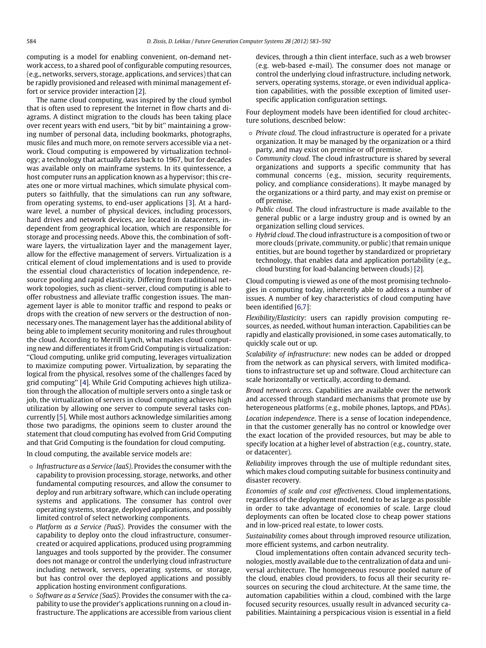computing is a model for enabling convenient, on-demand network access, to a shared pool of configurable computing resources, (e.g., networks, servers, storage, applications, and services) that can be rapidly provisioned and released with minimal management effort or service provider interaction [\[2\]](#page-9-3).

The name cloud computing, was inspired by the cloud symbol that is often used to represent the Internet in flow charts and diagrams. A distinct migration to the clouds has been taking place over recent years with end users, ''bit by bit'' maintaining a growing number of personal data, including bookmarks, photographs, music files and much more, on remote servers accessible via a network. Cloud computing is empowered by virtualization technology; a technology that actually dates back to 1967, but for decades was available only on mainframe systems. In its quintessence, a host computer runs an application known as a hypervisor; this creates one or more virtual machines, which simulate physical computers so faithfully, that the simulations can run any software, from operating systems, to end-user applications [\[3\]](#page-9-4). At a hardware level, a number of physical devices, including processors, hard drives and network devices, are located in datacenters, independent from geographical location, which are responsible for storage and processing needs. Above this, the combination of software layers, the virtualization layer and the management layer, allow for the effective management of servers. Virtualization is a critical element of cloud implementations and is used to provide the essential cloud characteristics of location independence, resource pooling and rapid elasticity. Differing from traditional network topologies, such as client–server, cloud computing is able to offer robustness and alleviate traffic congestion issues. The management layer is able to monitor traffic and respond to peaks or drops with the creation of new servers or the destruction of nonnecessary ones. The management layer has the additional ability of being able to implement security monitoring and rules throughout the cloud. According to Merrill Lynch, what makes cloud computing new and differentiates it from Grid Computing is virtualization: ''Cloud computing, unlike grid computing, leverages virtualization to maximize computing power. Virtualization, by separating the logical from the physical, resolves some of the challenges faced by grid computing'' [\[4\]](#page-9-5). While Grid Computing achieves high utilization through the allocation of multiple servers onto a single task or job, the virtualization of servers in cloud computing achieves high utilization by allowing one server to compute several tasks concurrently [\[5\]](#page-9-6). While most authors acknowledge similarities among those two paradigms, the opinions seem to cluster around the statement that cloud computing has evolved from Grid Computing and that Grid Computing is the foundation for cloud computing.

In cloud computing, the available service models are:

- *Infrastructure as a Service (IaaS)*. Provides the consumer with the capability to provision processing, storage, networks, and other fundamental computing resources, and allow the consumer to deploy and run arbitrary software, which can include operating systems and applications. The consumer has control over operating systems, storage, deployed applications, and possibly limited control of select networking components.
- *Platform as a Service (PaaS)*. Provides the consumer with the capability to deploy onto the cloud infrastructure, consumercreated or acquired applications, produced using programming languages and tools supported by the provider. The consumer does not manage or control the underlying cloud infrastructure including network, servers, operating systems, or storage, but has control over the deployed applications and possibly application hosting environment configurations.
- *Software as a Service (SaaS)*. Provides the consumer with the capability to use the provider's applications running on a cloud infrastructure. The applications are accessible from various client

devices, through a thin client interface, such as a web browser (e.g. web-based e-mail). The consumer does not manage or control the underlying cloud infrastructure, including network, servers, operating systems, storage, or even individual application capabilities, with the possible exception of limited userspecific application configuration settings.

Four deployment models have been identified for cloud architecture solutions, described below:

- *Private cloud*. The cloud infrastructure is operated for a private organization. It may be managed by the organization or a third party, and may exist on premise or off premise.
- *Community cloud*. The cloud infrastructure is shared by several organizations and supports a specific community that has communal concerns (e.g., mission, security requirements, policy, and compliance considerations). It maybe managed by the organizations or a third party, and may exist on premise or off premise.
- *Public cloud*. The cloud infrastructure is made available to the general public or a large industry group and is owned by an organization selling cloud services.
- *Hybrid cloud*. The cloud infrastructure is a composition of two or more clouds (private, community, or public) that remain unique entities, but are bound together by standardized or proprietary technology, that enables data and application portability (e.g., cloud bursting for load-balancing between clouds) [\[2\]](#page-9-3).

Cloud computing is viewed as one of the most promising technologies in computing today, inherently able to address a number of issues. A number of key characteristics of cloud computing have been identified [\[6](#page-9-7)[,7\]](#page-9-8):

*Flexibility/Elasticity*: users can rapidly provision computing resources, as needed, without human interaction. Capabilities can be rapidly and elastically provisioned, in some cases automatically, to quickly scale out or up.

*Scalability of infrastructure*: new nodes can be added or dropped from the network as can physical servers, with limited modifications to infrastructure set up and software. Cloud architecture can scale horizontally or vertically, according to demand.

*Broad network access*. Capabilities are available over the network and accessed through standard mechanisms that promote use by heterogeneous platforms (e.g., mobile phones, laptops, and PDAs).

*Location independence*. There is a sense of location independence, in that the customer generally has no control or knowledge over the exact location of the provided resources, but may be able to specify location at a higher level of abstraction (e.g., country, state, or datacenter).

*Reliability* improves through the use of multiple redundant sites, which makes cloud computing suitable for business continuity and disaster recovery.

*Economies of scale and cost effectiveness*. Cloud implementations, regardless of the deployment model, tend to be as large as possible in order to take advantage of economies of scale. Large cloud deployments can often be located close to cheap power stations and in low-priced real estate, to lower costs.

*Sustainability* comes about through improved resource utilization, more efficient systems, and carbon neutrality.

Cloud implementations often contain advanced security technologies, mostly available due to the centralization of data and universal architecture. The homogeneous resource pooled nature of the cloud, enables cloud providers, to focus all their security resources on securing the cloud architecture. At the same time, the automation capabilities within a cloud, combined with the large focused security resources, usually result in advanced security capabilities. Maintaining a perspicacious vision is essential in a field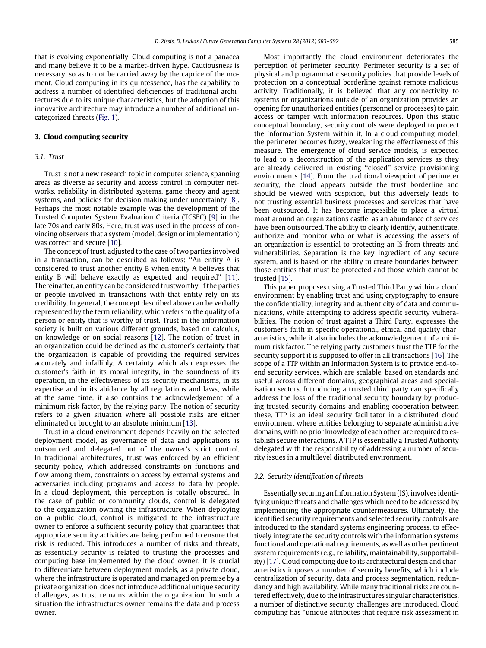that is evolving exponentially. Cloud computing is not a panacea and many believe it to be a market-driven hype. Cautiousness is necessary, so as to not be carried away by the caprice of the moment. Cloud computing in its quintessence, has the capability to address a number of identified deficiencies of traditional architectures due to its unique characteristics, but the adoption of this innovative architecture may introduce a number of additional uncategorized threats [\(Fig. 1\)](#page-4-0).

#### **3. Cloud computing security**

#### *3.1. Trust*

Trust is not a new research topic in computer science, spanning areas as diverse as security and access control in computer networks, reliability in distributed systems, game theory and agent systems, and policies for decision making under uncertainty [\[8\]](#page-9-9). Perhaps the most notable example was the development of the Trusted Computer System Evaluation Criteria (TCSEC) [\[9\]](#page-9-10) in the late 70s and early 80s. Here, trust was used in the process of convincing observers that a system (model, design or implementation) was correct and secure [\[10\]](#page-9-11).

The concept of trust, adjusted to the case of two parties involved in a transaction, can be described as follows: ''An entity A is considered to trust another entity B when entity A believes that entity B will behave exactly as expected and required" [\[11\]](#page-9-12). Thereinafter, an entity can be considered trustworthy, if the parties or people involved in transactions with that entity rely on its credibility. In general, the concept described above can be verbally represented by the term reliability, which refers to the quality of a person or entity that is worthy of trust. Trust in the information society is built on various different grounds, based on calculus, on knowledge or on social reasons [\[12\]](#page-9-13). The notion of trust in an organization could be defined as the customer's certainty that the organization is capable of providing the required services accurately and infallibly. A certainty which also expresses the customer's faith in its moral integrity, in the soundness of its operation, in the effectiveness of its security mechanisms, in its expertise and in its abidance by all regulations and laws, while at the same time, it also contains the acknowledgement of a minimum risk factor, by the relying party. The notion of security refers to a given situation where all possible risks are either eliminated or brought to an absolute minimum [\[13\]](#page-9-14).

Trust in a cloud environment depends heavily on the selected deployment model, as governance of data and applications is outsourced and delegated out of the owner's strict control. In traditional architectures, trust was enforced by an efficient security policy, which addressed constraints on functions and flow among them, constraints on access by external systems and adversaries including programs and access to data by people. In a cloud deployment, this perception is totally obscured. In the case of public or community clouds, control is delegated to the organization owning the infrastructure. When deploying on a public cloud, control is mitigated to the infrastructure owner to enforce a sufficient security policy that guarantees that appropriate security activities are being performed to ensure that risk is reduced. This introduces a number of risks and threats, as essentially security is related to trusting the processes and computing base implemented by the cloud owner. It is crucial to differentiate between deployment models, as a private cloud, where the infrastructure is operated and managed on premise by a private organization, does not introduce additional unique security challenges, as trust remains within the organization. In such a situation the infrastructures owner remains the data and process owner.

Most importantly the cloud environment deteriorates the perception of perimeter security. Perimeter security is a set of physical and programmatic security policies that provide levels of protection on a conceptual borderline against remote malicious activity. Traditionally, it is believed that any connectivity to systems or organizations outside of an organization provides an opening for unauthorized entities (personnel or processes) to gain access or tamper with information resources. Upon this static conceptual boundary, security controls were deployed to protect the Information System within it. In a cloud computing model, the perimeter becomes fuzzy, weakening the effectiveness of this measure. The emergence of cloud service models, is expected to lead to a deconstruction of the application services as they are already delivered in existing ''closed'' service provisioning environments [\[14\]](#page-9-15). From the traditional viewpoint of perimeter security, the cloud appears outside the trust borderline and should be viewed with suspicion, but this adversely leads to not trusting essential business processes and services that have been outsourced. It has become impossible to place a virtual moat around an organizations castle, as an abundance of services have been outsourced. The ability to clearly identify, authenticate, authorize and monitor who or what is accessing the assets of an organization is essential to protecting an IS from threats and vulnerabilities. Separation is the key ingredient of any secure system, and is based on the ability to create boundaries between those entities that must be protected and those which cannot be trusted [\[15\]](#page-9-16).

This paper proposes using a Trusted Third Party within a cloud environment by enabling trust and using cryptography to ensure the confidentiality, integrity and authenticity of data and communications, while attempting to address specific security vulnerabilities. The notion of trust against a Third Party, expresses the customer's faith in specific operational, ethical and quality characteristics, while it also includes the acknowledgement of a minimum risk factor. The relying party customers trust the TTP for the security support it is supposed to offer in all transactions [\[16\]](#page-9-17). The scope of a TTP within an Information System is to provide end-toend security services, which are scalable, based on standards and useful across different domains, geographical areas and specialisation sectors. Introducing a trusted third party can specifically address the loss of the traditional security boundary by producing trusted security domains and enabling cooperation between these. TTP is an ideal security facilitator in a distributed cloud environment where entities belonging to separate administrative domains, with no prior knowledge of each other, are required to establish secure interactions. A TTP is essentially a Trusted Authority delegated with the responsibility of addressing a number of security issues in a multilevel distributed environment.

#### *3.2. Security identification of threats*

Essentially securing an Information System (IS), involves identifying unique threats and challenges which need to be addressed by implementing the appropriate countermeasures. Ultimately, the identified security requirements and selected security controls are introduced to the standard systems engineering process, to effectively integrate the security controls with the information systems functional and operational requirements, as well as other pertinent system requirements (e.g., reliability, maintainability, supportability) [\[17\]](#page-9-18). Cloud computing due to its architectural design and characteristics imposes a number of security benefits, which include centralization of security, data and process segmentation, redundancy and high availability. While many traditional risks are countered effectively, due to the infrastructures singular characteristics, a number of distinctive security challenges are introduced. Cloud computing has ''unique attributes that require risk assessment in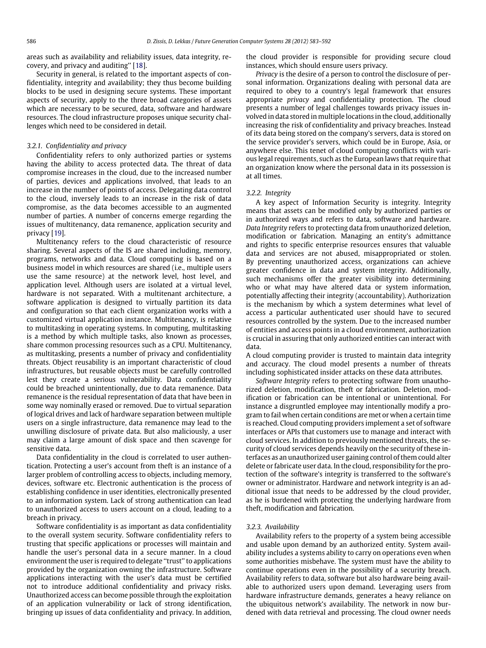areas such as availability and reliability issues, data integrity, recovery, and privacy and auditing'' [\[18\]](#page-9-19).

Security in general, is related to the important aspects of confidentiality, integrity and availability; they thus become building blocks to be used in designing secure systems. These important aspects of security, apply to the three broad categories of assets which are necessary to be secured, data, software and hardware resources. The cloud infrastructure proposes unique security challenges which need to be considered in detail.

#### *3.2.1. Confidentiality and privacy*

Confidentiality refers to only authorized parties or systems having the ability to access protected data. The threat of data compromise increases in the cloud, due to the increased number of parties, devices and applications involved, that leads to an increase in the number of points of access. Delegating data control to the cloud, inversely leads to an increase in the risk of data compromise, as the data becomes accessible to an augmented number of parties. A number of concerns emerge regarding the issues of multitenancy, data remanence, application security and privacy [\[19\]](#page-9-20).

Multitenancy refers to the cloud characteristic of resource sharing. Several aspects of the IS are shared including, memory, programs, networks and data. Cloud computing is based on a business model in which resources are shared (i.e., multiple users use the same resource) at the network level, host level, and application level. Although users are isolated at a virtual level, hardware is not separated. With a multitenant architecture, a software application is designed to virtually partition its data and configuration so that each client organization works with a customized virtual application instance. Multitenancy, is relative to multitasking in operating systems. In computing, multitasking is a method by which multiple tasks, also known as processes, share common processing resources such as a CPU. Multitenancy, as multitasking, presents a number of privacy and confidentiality threats. Object reusability is an important characteristic of cloud infrastructures, but reusable objects must be carefully controlled lest they create a serious vulnerability. Data confidentiality could be breached unintentionally, due to data remanence. Data remanence is the residual representation of data that have been in some way nominally erased or removed. Due to virtual separation of logical drives and lack of hardware separation between multiple users on a single infrastructure, data remanence may lead to the unwilling disclosure of private data. But also maliciously, a user may claim a large amount of disk space and then scavenge for sensitive data.

Data confidentiality in the cloud is correlated to user authentication. Protecting a user's account from theft is an instance of a larger problem of controlling access to objects, including memory, devices, software etc. Electronic authentication is the process of establishing confidence in user identities, electronically presented to an information system. Lack of strong authentication can lead to unauthorized access to users account on a cloud, leading to a breach in privacy.

Software confidentiality is as important as data confidentiality to the overall system security. Software confidentiality refers to trusting that specific applications or processes will maintain and handle the user's personal data in a secure manner. In a cloud environment the user is required to delegate ''trust'' to applications provided by the organization owning the infrastructure. Software applications interacting with the user's data must be certified not to introduce additional confidentiality and privacy risks. Unauthorized access can become possible through the exploitation of an application vulnerability or lack of strong identification, bringing up issues of data confidentiality and privacy. In addition, the cloud provider is responsible for providing secure cloud instances, which should ensure users privacy.

*Privacy* is the desire of a person to control the disclosure of personal information. Organizations dealing with personal data are required to obey to a country's legal framework that ensures appropriate *privacy* and confidentiality protection. The cloud presents a number of legal challenges towards privacy issues involved in data stored in multiple locations in the cloud, additionally increasing the risk of confidentiality and privacy breaches. Instead of its data being stored on the company's servers, data is stored on the service provider's servers, which could be in Europe, Asia, or anywhere else. This tenet of cloud computing conflicts with various legal requirements, such as the European laws that require that an organization know where the personal data in its possession is at all times.

#### *3.2.2. Integrity*

A key aspect of Information Security is integrity. Integrity means that assets can be modified only by authorized parties or in authorized ways and refers to data, software and hardware. *Data Integrity* refers to protecting data from unauthorized deletion, modification or fabrication. Managing an entity's admittance and rights to specific enterprise resources ensures that valuable data and services are not abused, misappropriated or stolen. By preventing unauthorized access, organizations can achieve greater confidence in data and system integrity. Additionally, such mechanisms offer the greater visibility into determining who or what may have altered data or system information, potentially affecting their integrity (accountability). Authorization is the mechanism by which a system determines what level of access a particular authenticated user should have to secured resources controlled by the system. Due to the increased number of entities and access points in a cloud environment, authorization is crucial in assuring that only authorized entities can interact with data.

A cloud computing provider is trusted to maintain data integrity and accuracy. The cloud model presents a number of threats including sophisticated insider attacks on these data attributes.

*Software Integrity* refers to protecting software from unauthorized deletion, modification, theft or fabrication. Deletion, modification or fabrication can be intentional or unintentional. For instance a disgruntled employee may intentionally modify a program to fail when certain conditions are met or when a certain time is reached. Cloud computing providers implement a set of software interfaces or APIs that customers use to manage and interact with cloud services. In addition to previously mentioned threats, the security of cloud services depends heavily on the security of these interfaces as an unauthorized user gaining control of them could alter delete or fabricate user data. In the cloud, responsibility for the protection of the software's integrity is transferred to the software's owner or administrator. Hardware and network integrity is an additional issue that needs to be addressed by the cloud provider, as he is burdened with protecting the underlying hardware from theft, modification and fabrication.

#### *3.2.3. Availability*

Availability refers to the property of a system being accessible and usable upon demand by an authorized entity. System availability includes a systems ability to carry on operations even when some authorities misbehave. The system must have the ability to continue operations even in the possibility of a security breach. Availability refers to data, software but also hardware being available to authorized users upon demand. Leveraging users from hardware infrastructure demands, generates a heavy reliance on the ubiquitous network's availability. The network in now burdened with data retrieval and processing. The cloud owner needs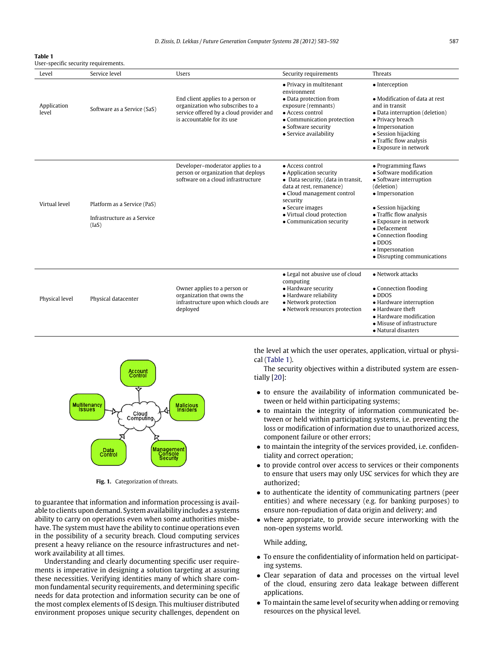<span id="page-4-1"></span>

| Table 1 |  |  |  |
|---------|--|--|--|
|         |  |  |  |

User-specific security requirements.

| Level                | Service level                                                       | Users                                                                                                                                          | Security requirements                                                                                                                                                                                                                       | Threats                                                                                                                                                                                                                                                                                                            |
|----------------------|---------------------------------------------------------------------|------------------------------------------------------------------------------------------------------------------------------------------------|---------------------------------------------------------------------------------------------------------------------------------------------------------------------------------------------------------------------------------------------|--------------------------------------------------------------------------------------------------------------------------------------------------------------------------------------------------------------------------------------------------------------------------------------------------------------------|
| Application<br>level | Software as a Service (SaS)                                         | End client applies to a person or<br>organization who subscribes to a<br>service offered by a cloud provider and<br>is accountable for its use | • Privacy in multitenant<br>environment<br>• Data protection from<br>exposure (remnants)<br>• Access control<br>• Communication protection<br>• Software security<br>• Service availability                                                 | • Interception<br>• Modification of data at rest<br>and in transit<br>• Data interruption (deletion)<br>• Privacy breach<br>• Impersonation<br>• Session hijacking<br>• Traffic flow analysis<br>• Exposure in network                                                                                             |
| Virtual level        | Platform as a Service (PaS)<br>Infrastructure as a Service<br>(IaS) | Developer-moderator applies to a<br>person or organization that deploys<br>software on a cloud infrastructure                                  | $\bullet$ Access control<br>• Application security<br>• Data security, (data in transit,<br>data at rest, remanence)<br>• Cloud management control<br>security<br>• Secure images<br>• Virtual cloud protection<br>• Communication security | • Programming flaws<br>$\bullet$ Software modification<br>• Software interruption<br>(deletion)<br>• Impersonation<br>• Session hijacking<br>• Traffic flow analysis<br>• Exposure in network<br>$\bullet$ Defacement<br>• Connection flooding<br>$\bullet$ DDOS<br>• Impersonation<br>• Disrupting communications |
| Physical level       | Physical datacenter                                                 | Owner applies to a person or<br>organization that owns the<br>infrastructure upon which clouds are<br>deployed                                 | • Legal not abusive use of cloud<br>computing<br>• Hardware security<br>· Hardware reliability<br>• Network protection<br>• Network resources protection                                                                                    | • Network attacks<br>• Connection flooding<br>$\bullet$ DDOS<br>• Hardware interruption<br>• Hardware theft<br>• Hardware modification<br>• Misuse of infrastructure<br>• Natural disasters                                                                                                                        |

<span id="page-4-0"></span>

Fig. 1. Categorization of threats.

to guarantee that information and information processing is available to clients upon demand. System availability includes a systems ability to carry on operations even when some authorities misbehave. The system must have the ability to continue operations even in the possibility of a security breach. Cloud computing services present a heavy reliance on the resource infrastructures and network availability at all times.

Understanding and clearly documenting specific user requirements is imperative in designing a solution targeting at assuring these necessities. Verifying identities many of which share common fundamental security requirements, and determining specific needs for data protection and information security can be one of the most complex elements of IS design. This multiuser distributed environment proposes unique security challenges, dependent on the level at which the user operates, application, virtual or physical [\(Table 1\)](#page-4-1).

The security objectives within a distributed system are essentially [\[20\]](#page-9-21):

- to ensure the availability of information communicated between or held within participating systems;
- to maintain the integrity of information communicated between or held within participating systems, i.e. preventing the loss or modification of information due to unauthorized access, component failure or other errors;
- to maintain the integrity of the services provided, i.e. confidentiality and correct operation;
- to provide control over access to services or their components to ensure that users may only USC services for which they are authorized;
- to authenticate the identity of communicating partners (peer entities) and where necessary (e.g. for banking purposes) to ensure non-repudiation of data origin and delivery; and
- where appropriate, to provide secure interworking with the non-open systems world.

While adding,

- To ensure the confidentiality of information held on participating systems.
- Clear separation of data and processes on the virtual level of the cloud, ensuring zero data leakage between different applications.
- To maintain the same level of security when adding or removing resources on the physical level.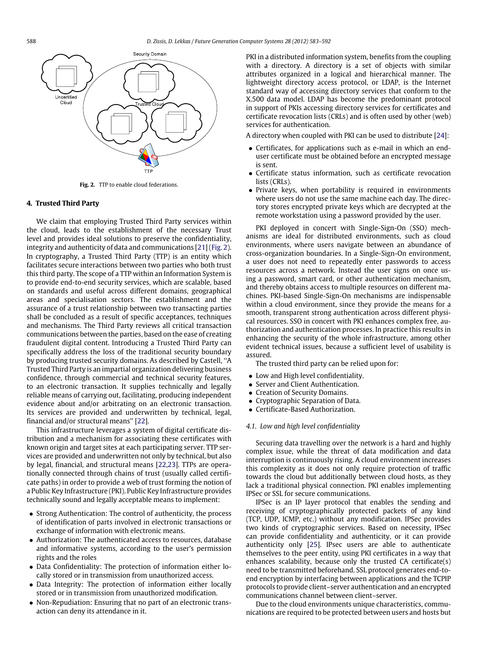<span id="page-5-0"></span>

Fig. 2. TTP to enable cloud federations.

#### **4. Trusted Third Party**

We claim that employing Trusted Third Party services within the cloud, leads to the establishment of the necessary Trust level and provides ideal solutions to preserve the confidentiality, integrity and authenticity of data and communications [\[21\]](#page-9-22) [\(Fig. 2\)](#page-5-0). In cryptography, a Trusted Third Party (TTP) is an entity which facilitates secure interactions between two parties who both trust this third party. The scope of a TTP within an Information System is to provide end-to-end security services, which are scalable, based on standards and useful across different domains, geographical areas and specialisation sectors. The establishment and the assurance of a trust relationship between two transacting parties shall be concluded as a result of specific acceptances, techniques and mechanisms. The Third Party reviews all critical transaction communications between the parties, based on the ease of creating fraudulent digital content. Introducing a Trusted Third Party can specifically address the loss of the traditional security boundary by producing trusted security domains. As described by Castell, ''A Trusted Third Party is an impartial organization delivering business confidence, through commercial and technical security features, to an electronic transaction. It supplies technically and legally reliable means of carrying out, facilitating, producing independent evidence about and/or arbitrating on an electronic transaction. Its services are provided and underwritten by technical, legal, financial and/or structural means'' [\[22\]](#page-9-23).

This infrastructure leverages a system of digital certificate distribution and a mechanism for associating these certificates with known origin and target sites at each participating server. TTP services are provided and underwritten not only by technical, but also by legal, financial, and structural means [\[22,](#page-9-23)[23\]](#page-9-24). TTPs are operationally connected through chains of trust (usually called certificate paths) in order to provide a web of trust forming the notion of a Public Key Infrastructure (PKI). Public Key Infrastructure provides technically sound and legally acceptable means to implement:

- Strong Authentication: The control of authenticity, the process of identification of parts involved in electronic transactions or exchange of information with electronic means.
- Authorization: The authenticated access to resources, database and informative systems, according to the user's permission rights and the roles
- Data Confidentiality: The protection of information either locally stored or in transmission from unauthorized access.
- Data Integrity: The protection of information either locally stored or in transmission from unauthorized modification.
- Non-Repudiation: Ensuring that no part of an electronic transaction can deny its attendance in it.

PKI in a distributed information system, benefits from the coupling with a directory. A directory is a set of objects with similar attributes organized in a logical and hierarchical manner. The lightweight directory access protocol, or LDAP, is the Internet standard way of accessing directory services that conform to the X.500 data model. LDAP has become the predominant protocol in support of PKIs accessing directory services for certificates and certificate revocation lists (CRLs) and is often used by other (web) services for authentication.

A directory when coupled with PKI can be used to distribute [\[24\]](#page-9-25):

- Certificates, for applications such as e-mail in which an enduser certificate must be obtained before an encrypted message is sent.
- Certificate status information, such as certificate revocation lists (CRLs).
- Private keys, when portability is required in environments where users do not use the same machine each day. The directory stores encrypted private keys which are decrypted at the remote workstation using a password provided by the user.

PKI deployed in concert with Single-Sign-On (SSO) mechanisms are ideal for distributed environments, such as cloud environments, where users navigate between an abundance of cross-organization boundaries. In a Single-Sign-On environment, a user does not need to repeatedly enter passwords to access resources across a network. Instead the user signs on once using a password, smart card, or other authentication mechanism, and thereby obtains access to multiple resources on different machines. PKI-based Single-Sign-On mechanisms are indispensable within a cloud environment, since they provide the means for a smooth, transparent strong authentication across different physical resources. SSO in concert with PKI enhances complex free, authorization and authentication processes. In practice this results in enhancing the security of the whole infrastructure, among other evident technical issues, because a sufficient level of usability is assured.

The trusted third party can be relied upon for:

- Low and High level confidentiality.
- Server and Client Authentication.
- Creation of Security Domains.
- Cryptographic Separation of Data.
- Certificate-Based Authorization.

#### *4.1. Low and high level confidentiality*

Securing data travelling over the network is a hard and highly complex issue, while the threat of data modification and data interruption is continuously rising. A cloud environment increases this complexity as it does not only require protection of traffic towards the cloud but additionally between cloud hosts, as they lack a traditional physical connection. PKI enables implementing IPSec or SSL for secure communications.

IPSec is an IP layer protocol that enables the sending and receiving of cryptographically protected packets of any kind (TCP, UDP, ICMP, etc.) without any modification. IPSec provides two kinds of cryptographic services. Based on necessity, IPSec can provide confidentiality and authenticity, or it can provide authenticity only [\[25\]](#page-9-26). IPsec users are able to authenticate themselves to the peer entity, using PKI certificates in a way that enhances scalability, because only the trusted CA certificate(s) need to be transmitted beforehand. SSL protocol generates end-toend encryption by interfacing between applications and the TCPIP protocols to provide client–server authentication and an encrypted communications channel between client–server.

Due to the cloud environments unique characteristics, communications are required to be protected between users and hosts but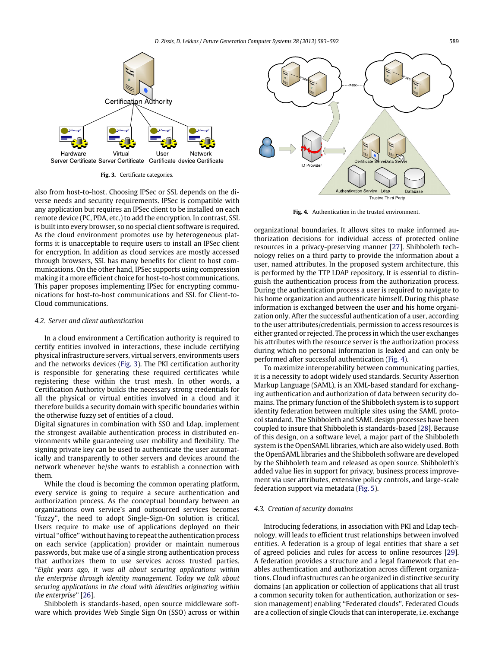<span id="page-6-0"></span>

**Fig. 3.** Certificate categories.

also from host-to-host. Choosing IPSec or SSL depends on the diverse needs and security requirements. IPSec is compatible with any application but requires an IPSec client to be installed on each remote device (PC, PDA, etc.) to add the encryption. In contrast, SSL is built into every browser, so no special client software is required. As the cloud environment promotes use by heterogeneous platforms it is unacceptable to require users to install an IPSec client for encryption. In addition as cloud services are mostly accessed through browsers, SSL has many benefits for client to host communications. On the other hand, IPSec supports using compression making it a more efficient choice for host-to-host communications. This paper proposes implementing IPSec for encrypting communications for host-to-host communications and SSL for Client-to-Cloud communications.

#### *4.2. Server and client authentication*

In a cloud environment a Certification authority is required to certify entities involved in interactions, these include certifying physical infrastructure servers, virtual servers, environments users and the networks devices [\(Fig. 3\)](#page-6-0). The PKI certification authority is responsible for generating these required certificates while registering these within the trust mesh. In other words, a Certification Authority builds the necessary strong credentials for all the physical or virtual entities involved in a cloud and it therefore builds a security domain with specific boundaries within the otherwise fuzzy set of entities of a cloud.

Digital signatures in combination with SSO and Ldap, implement the strongest available authentication process in distributed environments while guaranteeing user mobility and flexibility. The signing private key can be used to authenticate the user automatically and transparently to other servers and devices around the network whenever he/she wants to establish a connection with them.

While the cloud is becoming the common operating platform, every service is going to require a secure authentication and authorization process. As the conceptual boundary between an organizations own service's and outsourced services becomes "fuzzy", the need to adopt Single-Sign-On solution is critical. Users require to make use of applications deployed on their virtual ''office'' without having to repeat the authentication process on each service (application) provider or maintain numerous passwords, but make use of a single strong authentication process that authorizes them to use services across trusted parties. ''*Eight years ago, it was all about securing applications within the enterprise through identity management. Today we talk about securing applications in the cloud with identities originating within the enterprise*'' [\[26\]](#page-9-27).

Shibboleth is standards-based, open source middleware software which provides Web Single Sign On (SSO) across or within

<span id="page-6-1"></span>

**Fig. 4.** Authentication in the trusted environment.

organizational boundaries. It allows sites to make informed authorization decisions for individual access of protected online resources in a privacy-preserving manner [\[27\]](#page-9-28). Shibboleth technology relies on a third party to provide the information about a user, named attributes. In the proposed system architecture, this is performed by the TTP LDAP repository. It is essential to distinguish the authentication process from the authorization process. During the authentication process a user is required to navigate to his home organization and authenticate himself. During this phase information is exchanged between the user and his home organization only. After the successful authentication of a user, according to the user attributes/credentials, permission to access resources is either granted or rejected. The process in which the user exchanges his attributes with the resource server is the authorization process during which no personal information is leaked and can only be performed after successful authentication [\(Fig. 4\)](#page-6-1).

To maximize interoperability between communicating parties, it is a necessity to adopt widely used standards. Security Assertion Markup Language (SAML), is an XML-based standard for exchanging authentication and authorization of data between security domains. The primary function of the Shibboleth system is to support identity federation between multiple sites using the SAML protocol standard. The Shibboleth and SAML design processes have been coupled to insure that Shibboleth is standards-based [\[28\]](#page-9-29). Because of this design, on a software level, a major part of the Shibboleth system is the OpenSAML libraries, which are also widely used. Both the OpenSAML libraries and the Shibboleth software are developed by the Shibboleth team and released as open source. Shibboleth's added value lies in support for privacy, business process improvement via user attributes, extensive policy controls, and large-scale federation support via metadata [\(Fig. 5\)](#page-7-0).

#### *4.3. Creation of security domains*

Introducing federations, in association with PKI and Ldap technology, will leads to efficient trust relationships between involved entities. A federation is a group of legal entities that share a set of agreed policies and rules for access to online resources [\[29\]](#page-9-30). A federation provides a structure and a legal framework that enables authentication and authorization across different organizations. Cloud infrastructures can be organized in distinctive security domains (an application or collection of applications that all trust a common security token for authentication, authorization or session management) enabling ''Federated clouds''. Federated Clouds are a collection of single Clouds that can interoperate, i.e. exchange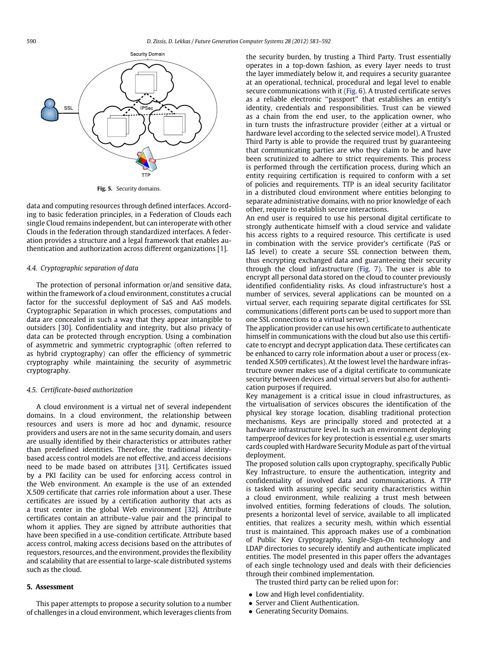<span id="page-7-0"></span>

**Fig. 5.** Security domains.

data and computing resources through defined interfaces. According to basic federation principles, in a Federation of Clouds each single Cloud remains independent, but can interoperate with other Clouds in the federation through standardized interfaces. A federation provides a structure and a legal framework that enables authentication and authorization across different organizations [\[1\]](#page-9-2).

#### *4.4. Cryptographic separation of data*

The protection of personal information or/and sensitive data, within the framework of a cloud environment, constitutes a crucial factor for the successful deployment of SaS and AaS models. Cryptographic Separation in which processes, computations and data are concealed in such a way that they appear intangible to outsiders [\[30\]](#page-9-31). Confidentiality and integrity, but also privacy of data can be protected through encryption. Using a combination of asymmetric and symmetric cryptographic (often referred to as hybrid cryptography) can offer the efficiency of symmetric cryptography while maintaining the security of asymmetric cryptography.

#### *4.5. Certificate-based authorization*

A cloud environment is a virtual net of several independent domains. In a cloud environment, the relationship between resources and users is more ad hoc and dynamic, resource providers and users are not in the same security domain, and users are usually identified by their characteristics or attributes rather than predefined identities. Therefore, the traditional identitybased access control models are not effective, and access decisions need to be made based on attributes [\[31\]](#page-9-32). Certificates issued by a PKI facility can be used for enforcing access control in the Web environment. An example is the use of an extended X.509 certificate that carries role information about a user. These certificates are issued by a certification authority that acts as a trust center in the global Web environment [\[32\]](#page-9-33). Attribute certificates contain an attribute–value pair and the principal to whom it applies. They are signed by attribute authorities that have been specified in a use-condition certificate. Attribute based access control, making access decisions based on the attributes of requestors, resources, and the environment, provides the flexibility and scalability that are essential to large-scale distributed systems such as the cloud.

#### **5. Assessment**

This paper attempts to propose a security solution to a number of challenges in a cloud environment, which leverages clients from the security burden, by trusting a Third Party. Trust essentially operates in a top-down fashion, as every layer needs to trust the layer immediately below it, and requires a security guarantee at an operational, technical, procedural and legal level to enable secure communications with it [\(Fig. 6\)](#page-8-0). A trusted certificate serves as a reliable electronic ''passport'' that establishes an entity's identity, credentials and responsibilities. Trust can be viewed as a chain from the end user, to the application owner, who in turn trusts the infrastructure provider (either at a virtual or hardware level according to the selected service model). A Trusted Third Party is able to provide the required trust by guaranteeing that communicating parties are who they claim to be and have been scrutinized to adhere to strict requirements. This process is performed through the certification process, during which an entity requiring certification is required to conform with a set of policies and requirements. TTP is an ideal security facilitator in a distributed cloud environment where entities belonging to separate administrative domains, with no prior knowledge of each other, require to establish secure interactions.

An end user is required to use his personal digital certificate to strongly authenticate himself with a cloud service and validate his access rights to a required resource. This certificate is used in combination with the service provider's certificate (PaS or IaS level) to create a secure SSL connection between them, thus encrypting exchanged data and guaranteeing their security through the cloud infrastructure [\(Fig. 7\)](#page-8-1). The user is able to encrypt all personal data stored on the cloud to counter previously identified confidentiality risks. As cloud infrastructure's host a number of services, several applications can be mounted on a virtual server, each requiring separate digital certificates for SSL communications (different ports can be used to support more than one SSL connections to a virtual server).

The application provider can use his own certificate to authenticate himself in communications with the cloud but also use this certificate to encrypt and decrypt application data. These certificates can be enhanced to carry role information about a user or process (extended X.509 certificates). At the lowest level the hardware infrastructure owner makes use of a digital certificate to communicate security between devices and virtual servers but also for authentication purposes if required.

Key management is a critical issue in cloud infrastructures, as the virtualisation of services obscures the identification of the physical key storage location, disabling traditional protection mechanisms. Keys are principally stored and protected at a hardware infrastructure level. In such an environment deploying tamperproof devices for key protection is essential e.g. user smarts cards coupled with Hardware Security Module as part of the virtual deployment.

The proposed solution calls upon cryptography, specifically Public Key Infrastructure, to ensure the authentication, integrity and confidentiality of involved data and communications. A TTP is tasked with assuring specific security characteristics within a cloud environment, while realizing a trust mesh between involved entities, forming federations of clouds. The solution, presents a horizontal level of service, available to all implicated entities, that realizes a security mesh, within which essential trust is maintained. This approach makes use of a combination of Public Key Cryptography, Single-Sign-On technology and LDAP directories to securely identify and authenticate implicated entities. The model presented in this paper offers the advantages of each single technology used and deals with their deficiencies through their combined implementation.

The trusted third party can be relied upon for:

- Low and High level confidentiality.
- Server and Client Authentication.
- Generating Security Domains.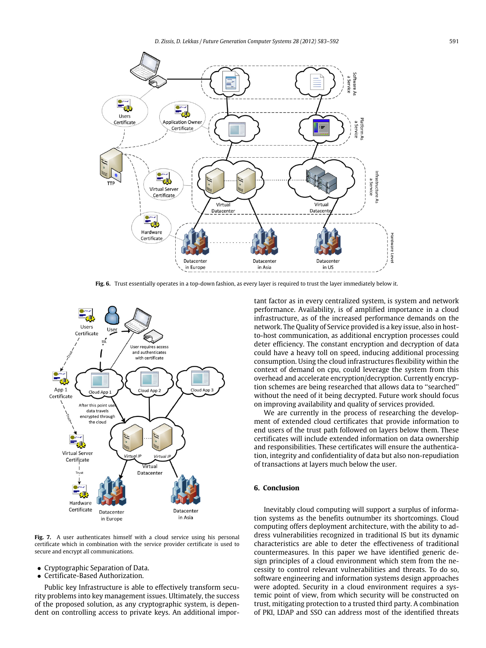<span id="page-8-0"></span>

**Fig. 6.** Trust essentially operates in a top-down fashion, as every layer is required to trust the layer immediately below it.

<span id="page-8-1"></span>

**Fig. 7.** A user authenticates himself with a cloud service using his personal certificate which in combination with the service provider certificate is used to secure and encrypt all communications.

- Cryptographic Separation of Data.
- Certificate-Based Authorization.

Public key Infrastructure is able to effectively transform security problems into key management issues. Ultimately, the success of the proposed solution, as any cryptographic system, is dependent on controlling access to private keys. An additional important factor as in every centralized system, is system and network performance. Availability, is of amplified importance in a cloud infrastructure, as of the increased performance demands on the network. The Quality of Service provided is a key issue, also in hostto-host communication, as additional encryption processes could deter efficiency. The constant encryption and decryption of data could have a heavy toll on speed, inducing additional processing consumption. Using the cloud infrastructures flexibility within the context of demand on cpu, could leverage the system from this overhead and accelerate encryption/decryption. Currently encryption schemes are being researched that allows data to ''searched'' without the need of it being decrypted. Future work should focus on improving availability and quality of services provided.

We are currently in the process of researching the development of extended cloud certificates that provide information to end users of the trust path followed on layers below them. These certificates will include extended information on data ownership and responsibilities. These certificates will ensure the authentication, integrity and confidentiality of data but also non-repudiation of transactions at layers much below the user.

#### **6. Conclusion**

Inevitably cloud computing will support a surplus of information systems as the benefits outnumber its shortcomings. Cloud computing offers deployment architecture, with the ability to address vulnerabilities recognized in traditional IS but its dynamic characteristics are able to deter the effectiveness of traditional countermeasures. In this paper we have identified generic design principles of a cloud environment which stem from the necessity to control relevant vulnerabilities and threats. To do so, software engineering and information systems design approaches were adopted. Security in a cloud environment requires a systemic point of view, from which security will be constructed on trust, mitigating protection to a trusted third party. A combination of PKI, LDAP and SSO can address most of the identified threats